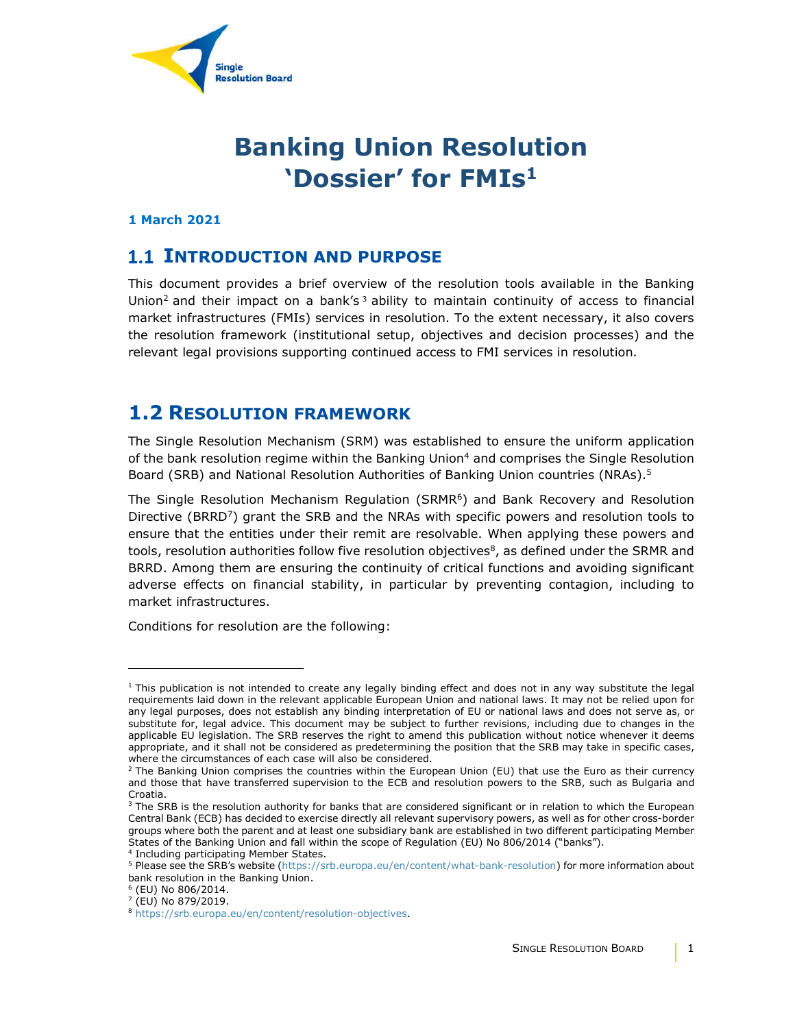

# **Banking Union Resolution 'Dossier' for FMIs1**

#### **1 March 2021**

#### **1.1 INTRODUCTION AND PURPOSE**

This document provides a brief overview of the resolution tools available in the Banking Union<sup>2</sup> and their impact on a bank's<sup>3</sup> ability to maintain continuity of access to financial market infrastructures (FMIs) services in resolution. To the extent necessary, it also covers the resolution framework (institutional setup, objectives and decision processes) and the relevant legal provisions supporting continued access to FMI services in resolution.

#### **1.2 RESOLUTION FRAMEWORK**

The Single Resolution Mechanism (SRM) was established to ensure the uniform application of the bank resolution regime within the Banking Union<sup>4</sup> and comprises the Single Resolution Board (SRB) and National Resolution Authorities of Banking Union countries (NRAs).5

The Single Resolution Mechanism Regulation (SRMR $<sup>6</sup>$ ) and Bank Recovery and Resolution</sup> Directive (BRRD<sup>7</sup>) grant the SRB and the NRAs with specific powers and resolution tools to ensure that the entities under their remit are resolvable. When applying these powers and tools, resolution authorities follow five resolution objectives $\delta$ , as defined under the SRMR and BRRD. Among them are ensuring the continuity of critical functions and avoiding significant adverse effects on financial stability, in particular by preventing contagion, including to market infrastructures.

Conditions for resolution are the following:

 $\overline{a}$ 

 $1$  This publication is not intended to create any legally binding effect and does not in any way substitute the legal requirements laid down in the relevant applicable European Union and national laws. It may not be relied upon for any legal purposes, does not establish any binding interpretation of EU or national laws and does not serve as, or substitute for, legal advice. This document may be subject to further revisions, including due to changes in the applicable EU legislation. The SRB reserves the right to amend this publication without notice whenever it deems appropriate, and it shall not be considered as predetermining the position that the SRB may take in specific cases, where the circumstances of each case will also be considered.

<sup>&</sup>lt;sup>2</sup> The Banking Union comprises the countries within the European Union (EU) that use the Euro as their currency and those that have transferred supervision to the ECB and resolution powers to the SRB, such as Bulgaria and Croatia.

<sup>&</sup>lt;sup>3</sup> The SRB is the resolution authority for banks that are considered significant or in relation to which the European Central Bank (ECB) has decided to exercise directly all relevant supervisory powers, as well as for other cross-border groups where both the parent and at least one subsidiary bank are established in two different participating Member States of the Banking Union and fall within the scope of Regulation (EU) No 806/2014 ("banks").

<sup>4</sup> Including participating Member States.

<sup>5</sup> Please see the SRB's website (https://srb.europa.eu/en/content/what-bank-resolution) for more information about bank resolution in the Banking Union.

<sup>6</sup> (EU) No 806/2014.

 $7$  (EU) No 879/2019.

<sup>8</sup> https://srb.europa.eu/en/content/resolution-objectives.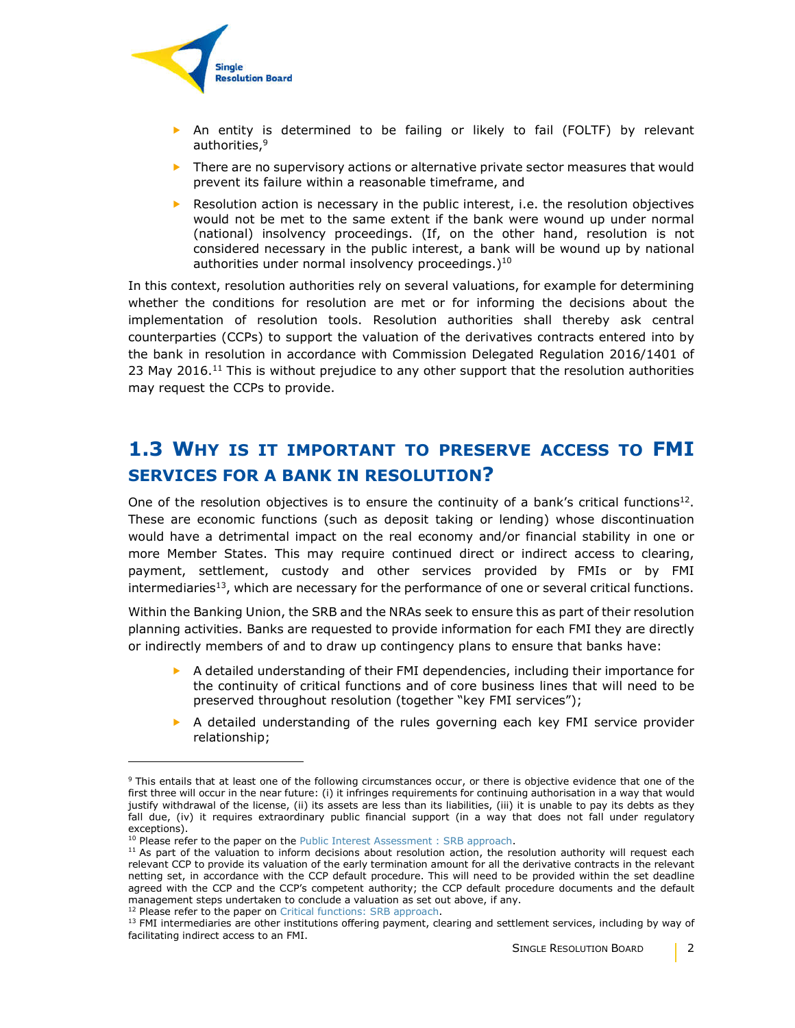

- An entity is determined to be failing or likely to fail (FOLTF) by relevant authorities,<sup>9</sup>
- $\triangleright$  There are no supervisory actions or alternative private sector measures that would prevent its failure within a reasonable timeframe, and
- $\blacktriangleright$  Resolution action is necessary in the public interest, i.e. the resolution objectives would not be met to the same extent if the bank were wound up under normal (national) insolvency proceedings. (If, on the other hand, resolution is not considered necessary in the public interest, a bank will be wound up by national authorities under normal insolvency proceedings. $1^{10}$

In this context, resolution authorities rely on several valuations, for example for determining whether the conditions for resolution are met or for informing the decisions about the implementation of resolution tools. Resolution authorities shall thereby ask central counterparties (CCPs) to support the valuation of the derivatives contracts entered into by the bank in resolution in accordance with Commission Delegated Regulation 2016/1401 of 23 May 2016.<sup>11</sup> This is without prejudice to any other support that the resolution authorities may request the CCPs to provide.

## **1.3 WHY IS IT IMPORTANT TO PRESERVE ACCESS TO FMI SERVICES FOR A BANK IN RESOLUTION?**

One of the resolution objectives is to ensure the continuity of a bank's critical functions<sup>12</sup>. These are economic functions (such as deposit taking or lending) whose discontinuation would have a detrimental impact on the real economy and/or financial stability in one or more Member States. This may require continued direct or indirect access to clearing, payment, settlement, custody and other services provided by FMIs or by FMI intermediaries<sup>13</sup>, which are necessary for the performance of one or several critical functions.

Within the Banking Union, the SRB and the NRAs seek to ensure this as part of their resolution planning activities. Banks are requested to provide information for each FMI they are directly or indirectly members of and to draw up contingency plans to ensure that banks have:

- $\triangleright$  A detailed understanding of their FMI dependencies, including their importance for the continuity of critical functions and of core business lines that will need to be preserved throughout resolution (together "key FMI services");
- $\triangleright$  A detailed understanding of the rules governing each key FMI service provider relationship;

<sup>12</sup> Please refer to the paper on Critical functions: SRB approach.

f,

<sup>&</sup>lt;sup>9</sup> This entails that at least one of the following circumstances occur, or there is objective evidence that one of the first three will occur in the near future: (i) it infringes requirements for continuing authorisation in a way that would justify withdrawal of the license, (ii) its assets are less than its liabilities, (iii) it is unable to pay its debts as they fall due, (iv) it requires extraordinary public financial support (in a way that does not fall under regulatory exceptions).

<sup>&</sup>lt;sup>10</sup> Please refer to the paper on the Public Interest Assessment : SRB approach.

 $11$  As part of the valuation to inform decisions about resolution action, the resolution authority will request each relevant CCP to provide its valuation of the early termination amount for all the derivative contracts in the relevant netting set, in accordance with the CCP default procedure. This will need to be provided within the set deadline agreed with the CCP and the CCP's competent authority; the CCP default procedure documents and the default management steps undertaken to conclude a valuation as set out above, if any.

 $<sup>13</sup>$  FMI intermediaries are other institutions offering payment, clearing and settlement services, including by way of</sup> facilitating indirect access to an FMI.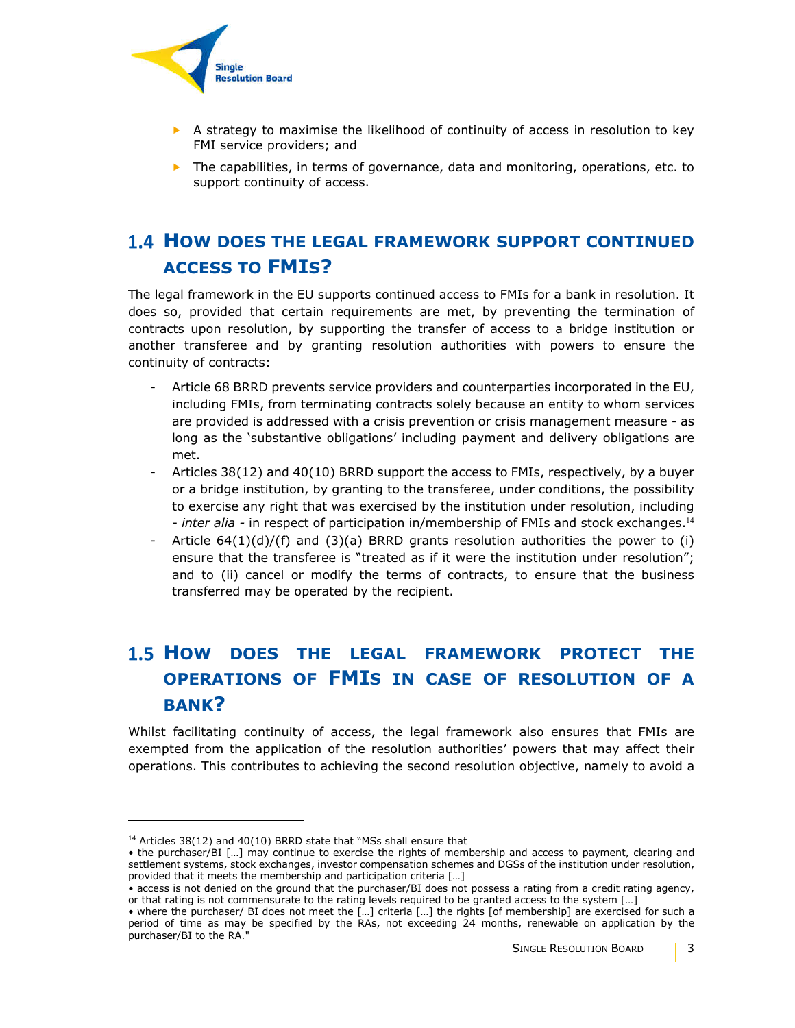

- $\triangleright$  A strategy to maximise the likelihood of continuity of access in resolution to key FMI service providers; and
- $\blacktriangleright$  The capabilities, in terms of governance, data and monitoring, operations, etc. to support continuity of access.

### **HOW DOES THE LEGAL FRAMEWORK SUPPORT CONTINUED ACCESS TO FMIS?**

The legal framework in the EU supports continued access to FMIs for a bank in resolution. It does so, provided that certain requirements are met, by preventing the termination of contracts upon resolution, by supporting the transfer of access to a bridge institution or another transferee and by granting resolution authorities with powers to ensure the continuity of contracts:

- Article 68 BRRD prevents service providers and counterparties incorporated in the EU, including FMIs, from terminating contracts solely because an entity to whom services are provided is addressed with a crisis prevention or crisis management measure - as long as the 'substantive obligations' including payment and delivery obligations are met.
- Articles  $38(12)$  and  $40(10)$  BRRD support the access to FMIs, respectively, by a buyer or a bridge institution, by granting to the transferee, under conditions, the possibility to exercise any right that was exercised by the institution under resolution, including - *inter alia -* in respect of participation in/membership of FMIs and stock exchanges.<sup>14</sup>
- Article 64(1)(d)/(f) and (3)(a) BRRD grants resolution authorities the power to (i) ensure that the transferee is "treated as if it were the institution under resolution"; and to (ii) cancel or modify the terms of contracts, to ensure that the business transferred may be operated by the recipient.

# **HOW DOES THE LEGAL FRAMEWORK PROTECT THE OPERATIONS OF FMIS IN CASE OF RESOLUTION OF A BANK?**

Whilst facilitating continuity of access, the legal framework also ensures that FMIs are exempted from the application of the resolution authorities' powers that may affect their operations. This contributes to achieving the second resolution objective, namely to avoid a

 $\overline{a}$ 

 $14$  Articles 38(12) and 40(10) BRRD state that "MSs shall ensure that

<sup>•</sup> the purchaser/BI […] may continue to exercise the rights of membership and access to payment, clearing and settlement systems, stock exchanges, investor compensation schemes and DGSs of the institution under resolution, provided that it meets the membership and participation criteria […]

<sup>•</sup> access is not denied on the ground that the purchaser/BI does not possess a rating from a credit rating agency, or that rating is not commensurate to the rating levels required to be granted access to the system […]

<sup>•</sup> where the purchaser/ BI does not meet the […] criteria […] the rights [of membership] are exercised for such a period of time as may be specified by the RAs, not exceeding 24 months, renewable on application by the purchaser/BI to the RA."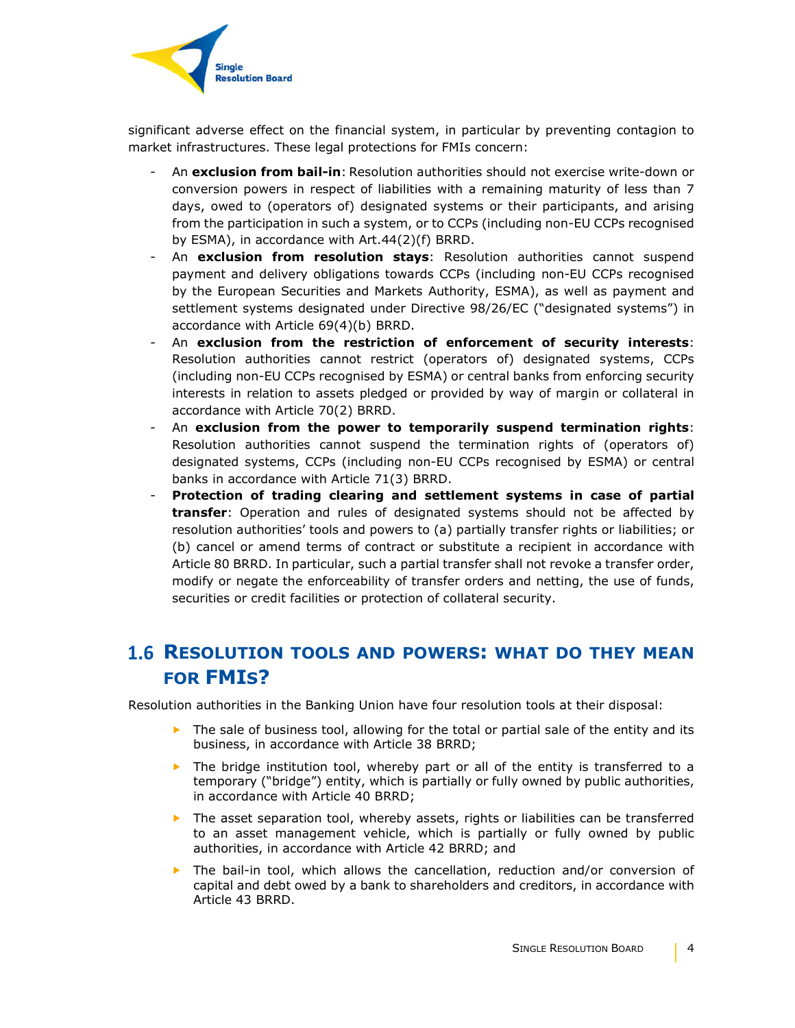

significant adverse effect on the financial system, in particular by preventing contagion to market infrastructures. These legal protections for FMIs concern:

- An **exclusion from bail-in**: Resolution authorities should not exercise write-down or conversion powers in respect of liabilities with a remaining maturity of less than 7 days, owed to (operators of) designated systems or their participants, and arising from the participation in such a system, or to CCPs (including non-EU CCPs recognised by ESMA), in accordance with Art.44(2)(f) BRRD.
- An **exclusion from resolution stays**: Resolution authorities cannot suspend payment and delivery obligations towards CCPs (including non-EU CCPs recognised by the European Securities and Markets Authority, ESMA), as well as payment and settlement systems designated under Directive 98/26/EC ("designated systems") in accordance with Article 69(4)(b) BRRD.
- An **exclusion from the restriction of enforcement of security interests**: Resolution authorities cannot restrict (operators of) designated systems, CCPs (including non-EU CCPs recognised by ESMA) or central banks from enforcing security interests in relation to assets pledged or provided by way of margin or collateral in accordance with Article 70(2) BRRD.
- An **exclusion from the power to temporarily suspend termination rights**: Resolution authorities cannot suspend the termination rights of (operators of) designated systems, CCPs (including non-EU CCPs recognised by ESMA) or central banks in accordance with Article 71(3) BRRD.
- **Protection of trading clearing and settlement systems in case of partial transfer**: Operation and rules of designated systems should not be affected by resolution authorities' tools and powers to (a) partially transfer rights or liabilities; or (b) cancel or amend terms of contract or substitute a recipient in accordance with Article 80 BRRD. In particular, such a partial transfer shall not revoke a transfer order, modify or negate the enforceability of transfer orders and netting, the use of funds, securities or credit facilities or protection of collateral security.

### **RESOLUTION TOOLS AND POWERS: WHAT DO THEY MEAN FOR FMIS?**

Resolution authorities in the Banking Union have four resolution tools at their disposal:

- $\triangleright$  The sale of business tool, allowing for the total or partial sale of the entity and its business, in accordance with Article 38 BRRD;
- $\triangleright$  The bridge institution tool, whereby part or all of the entity is transferred to a temporary ("bridge") entity, which is partially or fully owned by public authorities, in accordance with Article 40 BRRD;
- ▶ The asset separation tool, whereby assets, rights or liabilities can be transferred to an asset management vehicle, which is partially or fully owned by public authorities, in accordance with Article 42 BRRD; and
- ▶ The bail-in tool, which allows the cancellation, reduction and/or conversion of capital and debt owed by a bank to shareholders and creditors, in accordance with Article 43 BRRD.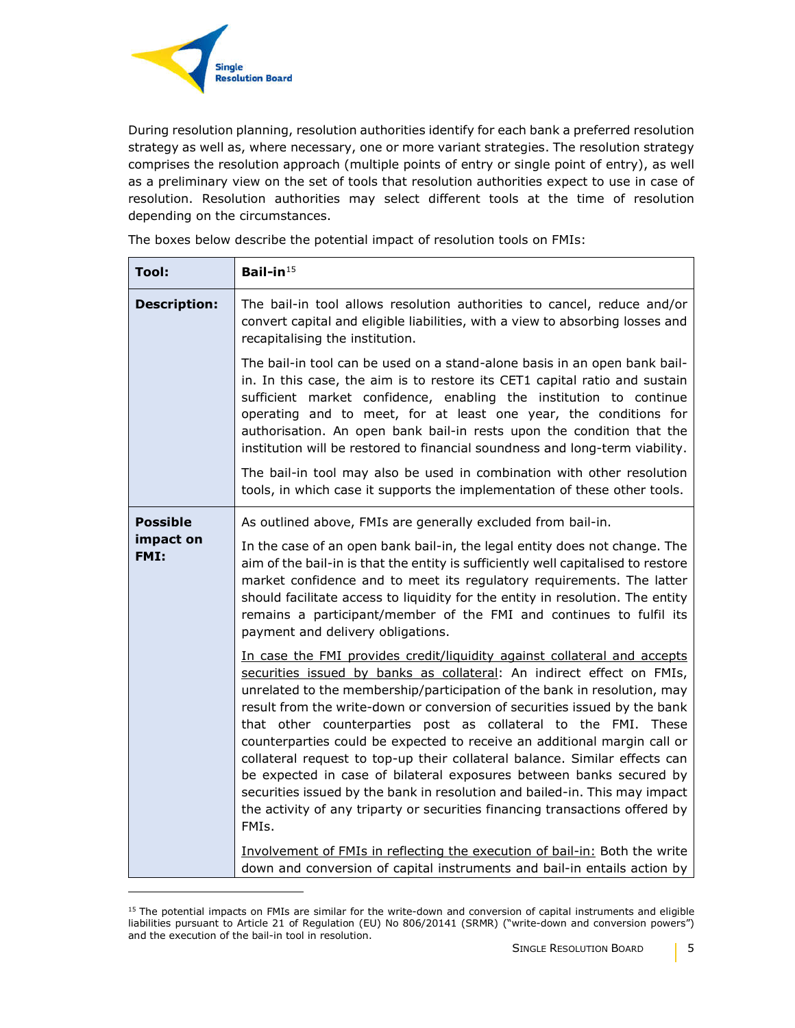

 $\overline{a}$ 

During resolution planning, resolution authorities identify for each bank a preferred resolution strategy as well as, where necessary, one or more variant strategies. The resolution strategy comprises the resolution approach (multiple points of entry or single point of entry), as well as a preliminary view on the set of tools that resolution authorities expect to use in case of resolution. Resolution authorities may select different tools at the time of resolution depending on the circumstances.

The boxes below describe the potential impact of resolution tools on FMIs:

| Tool:                                | Bail-in $15$                                                                                                                                                                                                                                                                                                                                                                                                                                                                                                                                                                                                                                                                                                                                                                         |
|--------------------------------------|--------------------------------------------------------------------------------------------------------------------------------------------------------------------------------------------------------------------------------------------------------------------------------------------------------------------------------------------------------------------------------------------------------------------------------------------------------------------------------------------------------------------------------------------------------------------------------------------------------------------------------------------------------------------------------------------------------------------------------------------------------------------------------------|
| <b>Description:</b>                  | The bail-in tool allows resolution authorities to cancel, reduce and/or<br>convert capital and eligible liabilities, with a view to absorbing losses and<br>recapitalising the institution.                                                                                                                                                                                                                                                                                                                                                                                                                                                                                                                                                                                          |
|                                      | The bail-in tool can be used on a stand-alone basis in an open bank bail-<br>in. In this case, the aim is to restore its CET1 capital ratio and sustain<br>sufficient market confidence, enabling the institution to continue<br>operating and to meet, for at least one year, the conditions for<br>authorisation. An open bank bail-in rests upon the condition that the<br>institution will be restored to financial soundness and long-term viability.                                                                                                                                                                                                                                                                                                                           |
|                                      | The bail-in tool may also be used in combination with other resolution<br>tools, in which case it supports the implementation of these other tools.                                                                                                                                                                                                                                                                                                                                                                                                                                                                                                                                                                                                                                  |
| <b>Possible</b><br>impact on<br>FMI: | As outlined above, FMIs are generally excluded from bail-in.<br>In the case of an open bank bail-in, the legal entity does not change. The<br>aim of the bail-in is that the entity is sufficiently well capitalised to restore<br>market confidence and to meet its regulatory requirements. The latter<br>should facilitate access to liquidity for the entity in resolution. The entity<br>remains a participant/member of the FMI and continues to fulfil its<br>payment and delivery obligations.                                                                                                                                                                                                                                                                               |
|                                      | In case the FMI provides credit/liquidity against collateral and accepts<br>securities issued by banks as collateral: An indirect effect on FMIs,<br>unrelated to the membership/participation of the bank in resolution, may<br>result from the write-down or conversion of securities issued by the bank<br>that other counterparties post as collateral to the FMI. These<br>counterparties could be expected to receive an additional margin call or<br>collateral request to top-up their collateral balance. Similar effects can<br>be expected in case of bilateral exposures between banks secured by<br>securities issued by the bank in resolution and bailed-in. This may impact<br>the activity of any triparty or securities financing transactions offered by<br>FMIs. |
|                                      | Involvement of FMIs in reflecting the execution of bail-in: Both the write<br>down and conversion of capital instruments and bail-in entails action by                                                                                                                                                                                                                                                                                                                                                                                                                                                                                                                                                                                                                               |

 $15$  The potential impacts on FMIs are similar for the write-down and conversion of capital instruments and eligible liabilities pursuant to Article 21 of Regulation (EU) No 806/20141 (SRMR) ("write-down and conversion powers") and the execution of the bail-in tool in resolution.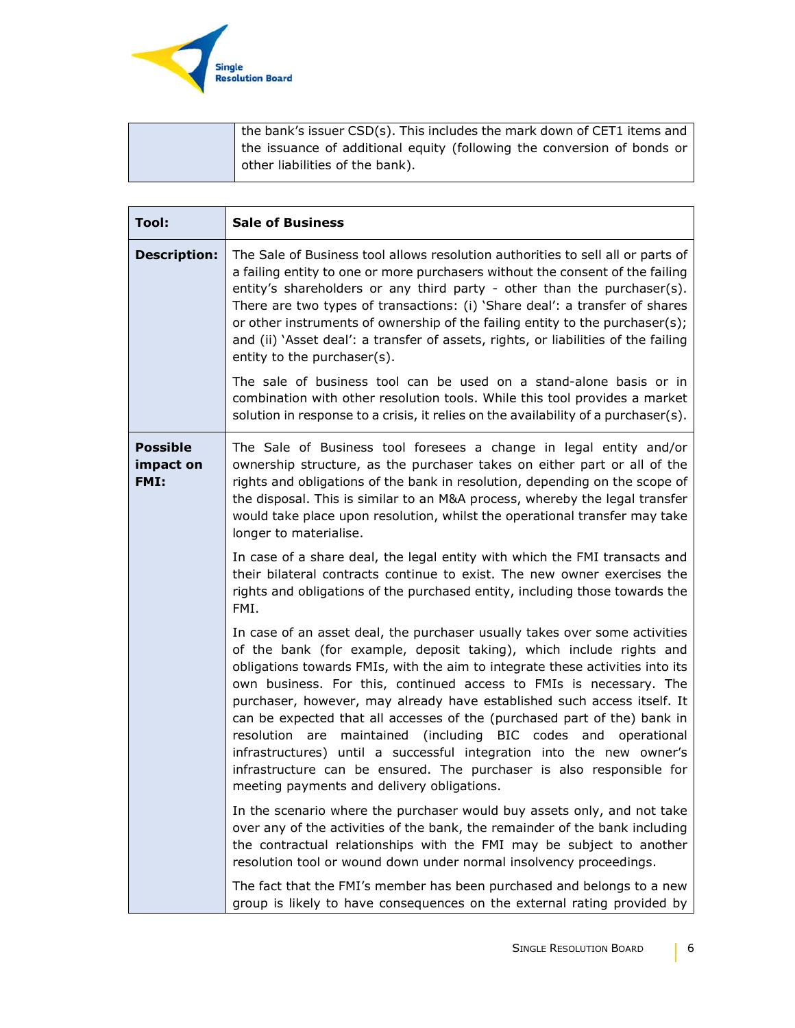

| the bank's issuer CSD(s). This includes the mark down of CET1 items and |
|-------------------------------------------------------------------------|
| the issuance of additional equity (following the conversion of bonds or |
| d other liabilities of the bank).                                       |
|                                                                         |

| <b>Tool:</b>                         | <b>Sale of Business</b>                                                                                                                                                                                                                                                                                                                                                                                                                                                                                                                                                                                                                                                                                                               |
|--------------------------------------|---------------------------------------------------------------------------------------------------------------------------------------------------------------------------------------------------------------------------------------------------------------------------------------------------------------------------------------------------------------------------------------------------------------------------------------------------------------------------------------------------------------------------------------------------------------------------------------------------------------------------------------------------------------------------------------------------------------------------------------|
| <b>Description:</b>                  | The Sale of Business tool allows resolution authorities to sell all or parts of<br>a failing entity to one or more purchasers without the consent of the failing<br>entity's shareholders or any third party - other than the purchaser(s).<br>There are two types of transactions: (i) 'Share deal': a transfer of shares<br>or other instruments of ownership of the failing entity to the purchaser(s);<br>and (ii) `Asset deal': a transfer of assets, rights, or liabilities of the failing<br>entity to the purchaser(s).                                                                                                                                                                                                       |
|                                      | The sale of business tool can be used on a stand-alone basis or in<br>combination with other resolution tools. While this tool provides a market<br>solution in response to a crisis, it relies on the availability of a purchaser(s).                                                                                                                                                                                                                                                                                                                                                                                                                                                                                                |
| <b>Possible</b><br>impact on<br>FMI: | The Sale of Business tool foresees a change in legal entity and/or<br>ownership structure, as the purchaser takes on either part or all of the<br>rights and obligations of the bank in resolution, depending on the scope of<br>the disposal. This is similar to an M&A process, whereby the legal transfer<br>would take place upon resolution, whilst the operational transfer may take<br>longer to materialise.                                                                                                                                                                                                                                                                                                                  |
|                                      | In case of a share deal, the legal entity with which the FMI transacts and<br>their bilateral contracts continue to exist. The new owner exercises the<br>rights and obligations of the purchased entity, including those towards the<br>FMI.                                                                                                                                                                                                                                                                                                                                                                                                                                                                                         |
|                                      | In case of an asset deal, the purchaser usually takes over some activities<br>of the bank (for example, deposit taking), which include rights and<br>obligations towards FMIs, with the aim to integrate these activities into its<br>own business. For this, continued access to FMIs is necessary. The<br>purchaser, however, may already have established such access itself. It<br>can be expected that all accesses of the (purchased part of the) bank in<br>maintained (including BIC codes and<br>resolution are<br>operational<br>infrastructures) until a successful integration into the new owner's<br>infrastructure can be ensured. The purchaser is also responsible for<br>meeting payments and delivery obligations. |
|                                      | In the scenario where the purchaser would buy assets only, and not take<br>over any of the activities of the bank, the remainder of the bank including<br>the contractual relationships with the FMI may be subject to another<br>resolution tool or wound down under normal insolvency proceedings.                                                                                                                                                                                                                                                                                                                                                                                                                                  |
|                                      | The fact that the FMI's member has been purchased and belongs to a new<br>group is likely to have consequences on the external rating provided by                                                                                                                                                                                                                                                                                                                                                                                                                                                                                                                                                                                     |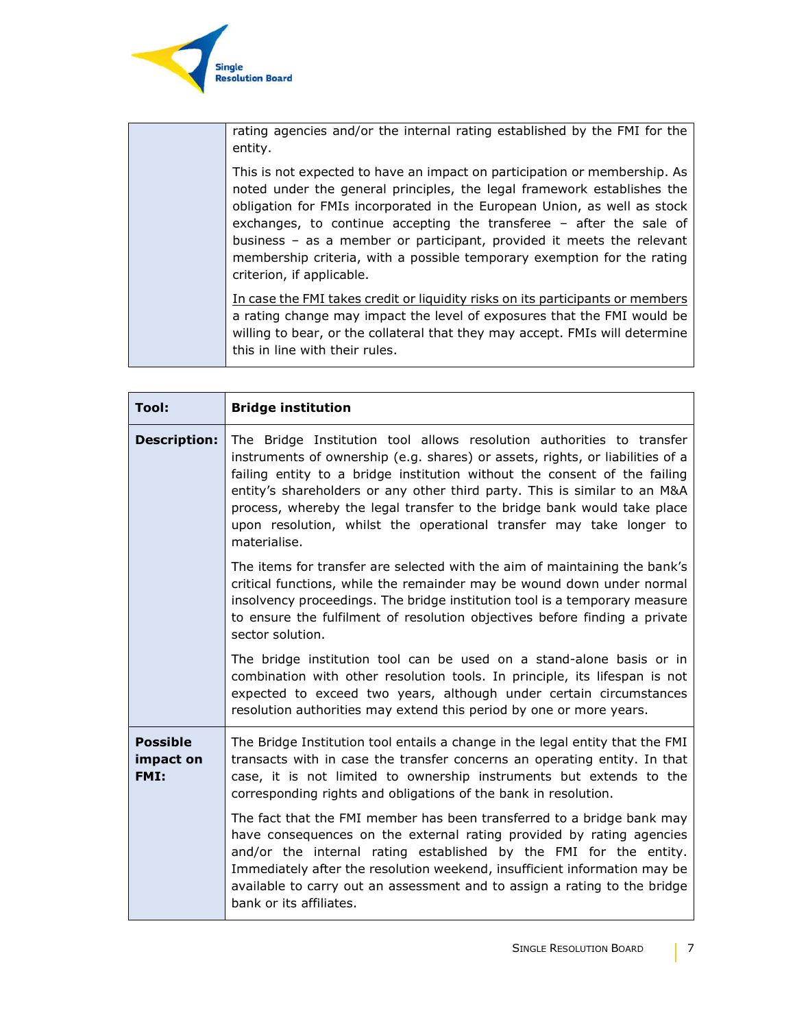

| rating agencies and/or the internal rating established by the FMI for the<br>entity.                                                                                                                                                                                                                                                                                                                                                                                                     |
|------------------------------------------------------------------------------------------------------------------------------------------------------------------------------------------------------------------------------------------------------------------------------------------------------------------------------------------------------------------------------------------------------------------------------------------------------------------------------------------|
| This is not expected to have an impact on participation or membership. As<br>noted under the general principles, the legal framework establishes the<br>obligation for FMIs incorporated in the European Union, as well as stock<br>exchanges, to continue accepting the transferee - after the sale of<br>business - as a member or participant, provided it meets the relevant<br>membership criteria, with a possible temporary exemption for the rating<br>criterion, if applicable. |
| In case the FMI takes credit or liquidity risks on its participants or members<br>a rating change may impact the level of exposures that the FMI would be<br>willing to bear, or the collateral that they may accept. FMIs will determine<br>this in line with their rules.                                                                                                                                                                                                              |

| <b>Tool:</b>                         | <b>Bridge institution</b>                                                                                                                                                                                                                                                                                                                                                                                                                                                          |
|--------------------------------------|------------------------------------------------------------------------------------------------------------------------------------------------------------------------------------------------------------------------------------------------------------------------------------------------------------------------------------------------------------------------------------------------------------------------------------------------------------------------------------|
| <b>Description:</b>                  | The Bridge Institution tool allows resolution authorities to transfer<br>instruments of ownership (e.g. shares) or assets, rights, or liabilities of a<br>failing entity to a bridge institution without the consent of the failing<br>entity's shareholders or any other third party. This is similar to an M&A<br>process, whereby the legal transfer to the bridge bank would take place<br>upon resolution, whilst the operational transfer may take longer to<br>materialise. |
|                                      | The items for transfer are selected with the aim of maintaining the bank's<br>critical functions, while the remainder may be wound down under normal<br>insolvency proceedings. The bridge institution tool is a temporary measure<br>to ensure the fulfilment of resolution objectives before finding a private<br>sector solution.                                                                                                                                               |
|                                      | The bridge institution tool can be used on a stand-alone basis or in<br>combination with other resolution tools. In principle, its lifespan is not<br>expected to exceed two years, although under certain circumstances<br>resolution authorities may extend this period by one or more years.                                                                                                                                                                                    |
| <b>Possible</b><br>impact on<br>FMI: | The Bridge Institution tool entails a change in the legal entity that the FMI<br>transacts with in case the transfer concerns an operating entity. In that<br>case, it is not limited to ownership instruments but extends to the<br>corresponding rights and obligations of the bank in resolution.                                                                                                                                                                               |
|                                      | The fact that the FMI member has been transferred to a bridge bank may<br>have consequences on the external rating provided by rating agencies<br>and/or the internal rating established by the FMI for the entity.<br>Immediately after the resolution weekend, insufficient information may be<br>available to carry out an assessment and to assign a rating to the bridge<br>bank or its affiliates.                                                                           |